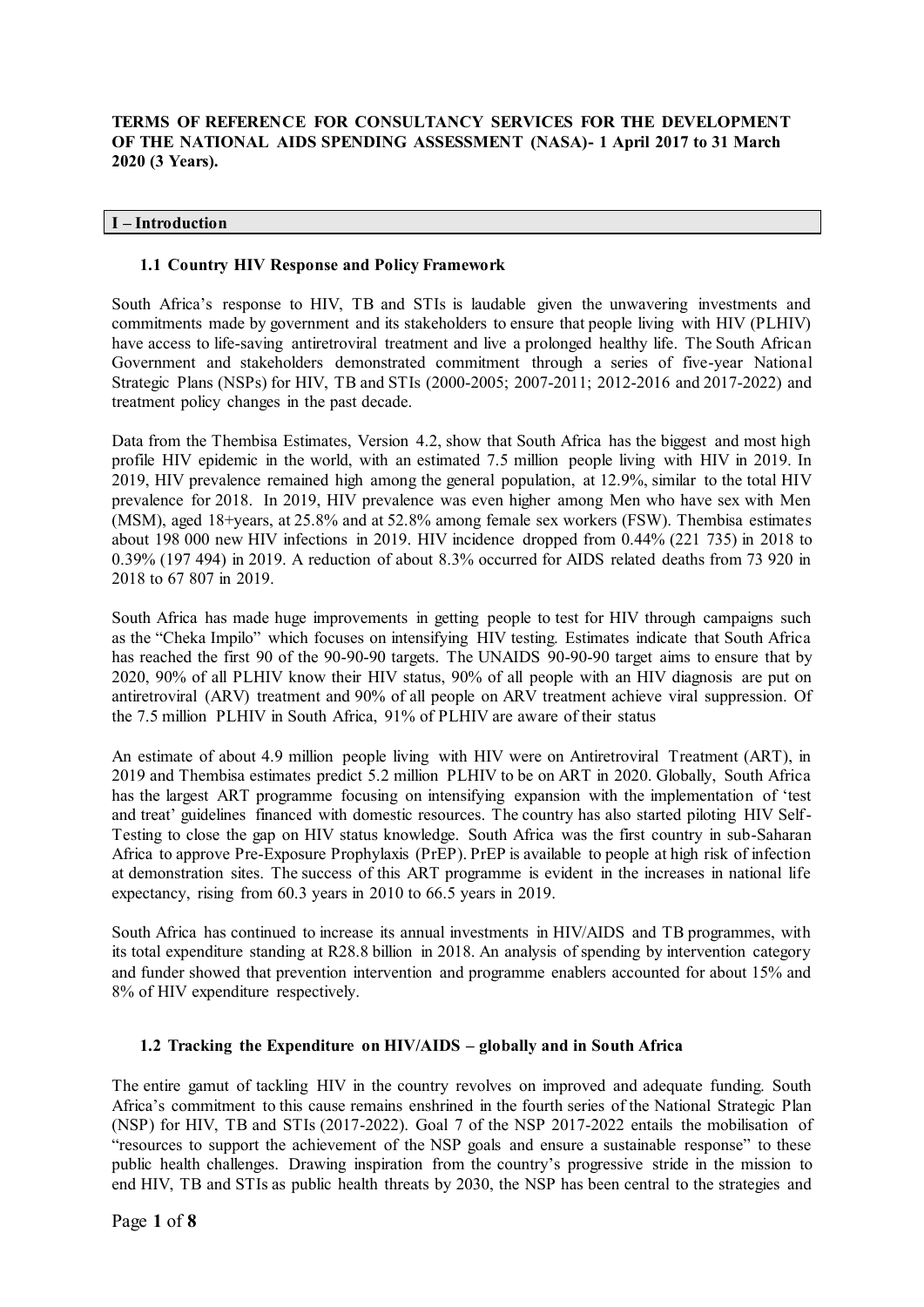# **TERMS OF REFERENCE FOR CONSULTANCY SERVICES FOR THE DEVELOPMENT OF THE NATIONAL AIDS SPENDING ASSESSMENT (NASA)- 1 April 2017 to 31 March 2020 (3 Years).**

#### **I – Introduction**

#### **1.1 Country HIV Response and Policy Framework**

South Africa's response to HIV, TB and STIs is laudable given the unwavering investments and commitments made by government and its stakeholders to ensure that people living with HIV (PLHIV) have access to life-saving antiretroviral treatment and live a prolonged healthy life. The South African Government and stakeholders demonstrated commitment through a series of five-year National Strategic Plans (NSPs) for HIV, TB and STIs (2000-2005; 2007-2011; 2012-2016 and 2017-2022) and treatment policy changes in the past decade.

Data from the Thembisa Estimates, Version 4.2, show that South Africa has the biggest and most high profile HIV epidemic in the world, with an estimated 7.5 million people living with HIV in 2019. In 2019, HIV prevalence remained high among the general population, at 12.9%, similar to the total HIV prevalence for 2018. In 2019, HIV prevalence was even higher among Men who have sex with Men (MSM), aged 18+years, at 25.8% and at 52.8% among female sex workers (FSW). Thembisa estimates about 198 000 new HIV infections in 2019. HIV incidence dropped from 0.44% (221 735) in 2018 to 0.39% (197 494) in 2019. A reduction of about 8.3% occurred for AIDS related deaths from 73 920 in 2018 to 67 807 in 2019.

South Africa has made huge improvements in getting people to test for HIV through campaigns such as the "Cheka Impilo" which focuses on intensifying HIV testing. Estimates indicate that South Africa has reached the first 90 of the 90-90-90 targets. The UNAIDS 90-90-90 target aims to ensure that by 2020, 90% of all PLHIV know their HIV status, 90% of all people with an HIV diagnosis are put on antiretroviral (ARV) treatment and 90% of all people on ARV treatment achieve viral suppression. Of the 7.5 million PLHIV in South Africa, 91% of PLHIV are aware of their status

An estimate of about 4.9 million people living with HIV were on Antiretroviral Treatment (ART), in 2019 and Thembisa estimates predict 5.2 million PLHIV to be on ART in 2020. Globally, South Africa has the largest ART programme focusing on intensifying expansion with the implementation of 'test and treat' guidelines financed with domestic resources. The country has also started piloting HIV Self-Testing to close the gap on HIV status knowledge. South Africa was the first country in sub-Saharan Africa to approve Pre-Exposure Prophylaxis (PrEP). PrEP is available to people at high risk of infection at demonstration sites. The success of this ART programme is evident in the increases in national life expectancy, rising from 60.3 years in 2010 to 66.5 years in 2019.

South Africa has continued to increase its annual investments in HIV/AIDS and TB programmes, with its total expenditure standing at R28.8 billion in 2018. An analysis of spending by intervention category and funder showed that prevention intervention and programme enablers accounted for about 15% and 8% of HIV expenditure respectively.

## **1.2 Tracking the Expenditure on HIV/AIDS – globally and in South Africa**

The entire gamut of tackling HIV in the country revolves on improved and adequate funding. South Africa's commitment to this cause remains enshrined in the fourth series of the National Strategic Plan (NSP) for HIV, TB and STIs (2017-2022). Goal 7 of the NSP 2017-2022 entails the mobilisation of "resources to support the achievement of the NSP goals and ensure a sustainable response" to these public health challenges. Drawing inspiration from the country's progressive stride in the mission to end HIV, TB and STIs as public health threats by 2030, the NSP has been central to the strategies and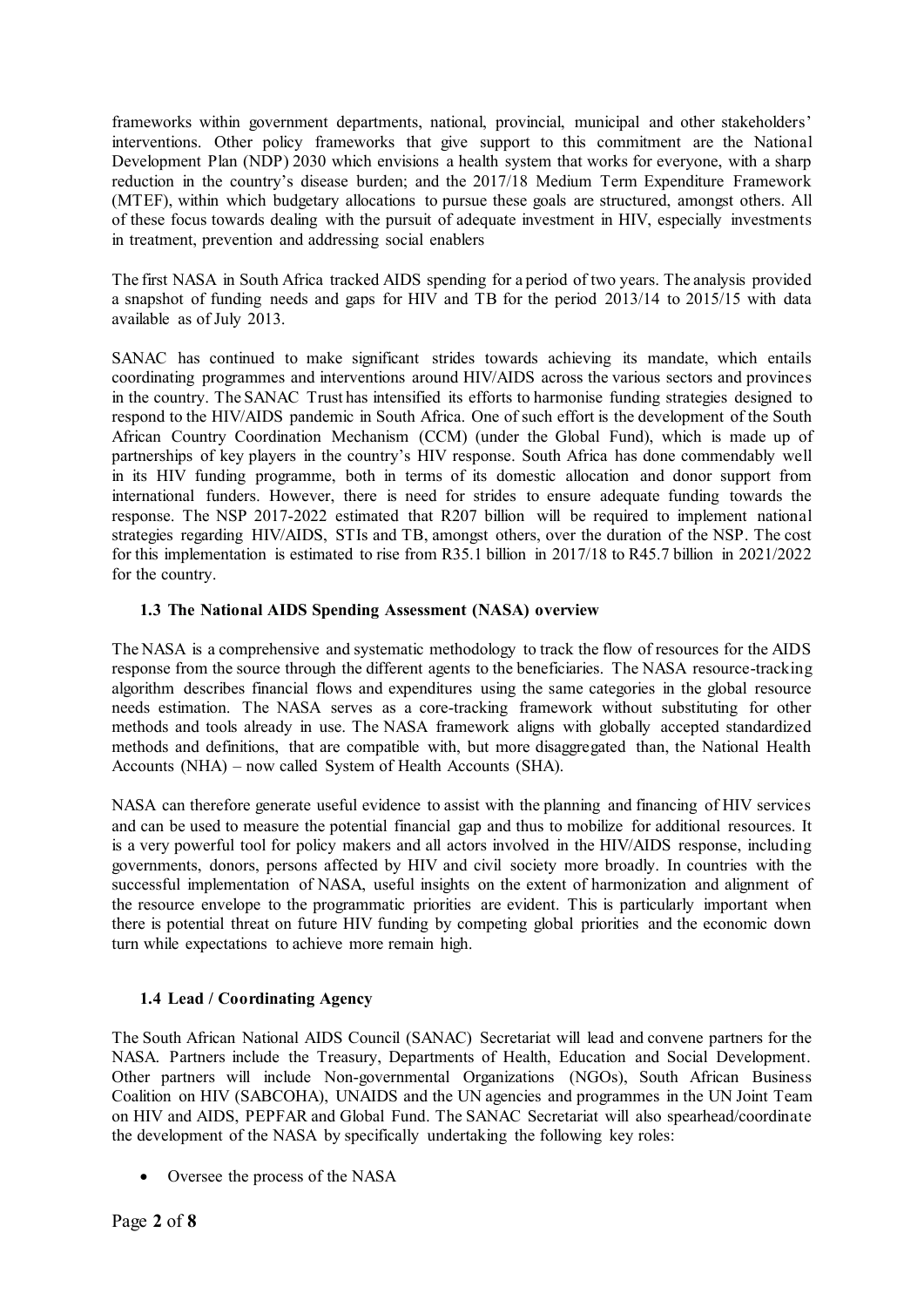frameworks within government departments, national, provincial, municipal and other stakeholders' interventions. Other policy frameworks that give support to this commitment are the National Development Plan (NDP) 2030 which envisions a health system that works for everyone, with a sharp reduction in the country's disease burden; and the 2017/18 Medium Term Expenditure Framework (MTEF), within which budgetary allocations to pursue these goals are structured, amongst others. All of these focus towards dealing with the pursuit of adequate investment in HIV, especially investments in treatment, prevention and addressing social enablers

The first NASA in South Africa tracked AIDS spending for a period of two years. The analysis provided a snapshot of funding needs and gaps for HIV and TB for the period 2013/14 to 2015/15 with data available as of July 2013.

SANAC has continued to make significant strides towards achieving its mandate, which entails coordinating programmes and interventions around HIV/AIDS across the various sectors and provinces in the country. The SANAC Trust has intensified its efforts to harmonise funding strategies designed to respond to the HIV/AIDS pandemic in South Africa. One of such effort is the development of the South African Country Coordination Mechanism (CCM) (under the Global Fund), which is made up of partnerships of key players in the country's HIV response. South Africa has done commendably well in its HIV funding programme, both in terms of its domestic allocation and donor support from international funders. However, there is need for strides to ensure adequate funding towards the response. The NSP 2017-2022 estimated that R207 billion will be required to implement national strategies regarding HIV/AIDS, STIs and TB, amongst others, over the duration of the NSP. The cost for this implementation is estimated to rise from R35.1 billion in 2017/18 to R45.7 billion in 2021/2022 for the country.

# **1.3 The National AIDS Spending Assessment (NASA) overview**

The NASA is a comprehensive and systematic methodology to track the flow of resources for the AIDS response from the source through the different agents to the beneficiaries. The NASA resource-tracking algorithm describes financial flows and expenditures using the same categories in the global resource needs estimation. The NASA serves as a core-tracking framework without substituting for other methods and tools already in use. The NASA framework aligns with globally accepted standardized methods and definitions, that are compatible with, but more disaggregated than, the National Health Accounts (NHA) – now called System of Health Accounts (SHA).

NASA can therefore generate useful evidence to assist with the planning and financing of HIV services and can be used to measure the potential financial gap and thus to mobilize for additional resources. It is a very powerful tool for policy makers and all actors involved in the HIV/AIDS response, including governments, donors, persons affected by HIV and civil society more broadly. In countries with the successful implementation of NASA, useful insights on the extent of harmonization and alignment of the resource envelope to the programmatic priorities are evident. This is particularly important when there is potential threat on future HIV funding by competing global priorities and the economic down turn while expectations to achieve more remain high.

## **1.4 Lead / Coordinating Agency**

The South African National AIDS Council (SANAC) Secretariat will lead and convene partners for the NASA. Partners include the Treasury, Departments of Health, Education and Social Development. Other partners will include Non-governmental Organizations (NGOs), South African Business Coalition on HIV (SABCOHA), UNAIDS and the UN agencies and programmes in the UN Joint Team on HIV and AIDS, PEPFAR and Global Fund. The SANAC Secretariat will also spearhead/coordinate the development of the NASA by specifically undertaking the following key roles:

Oversee the process of the NASA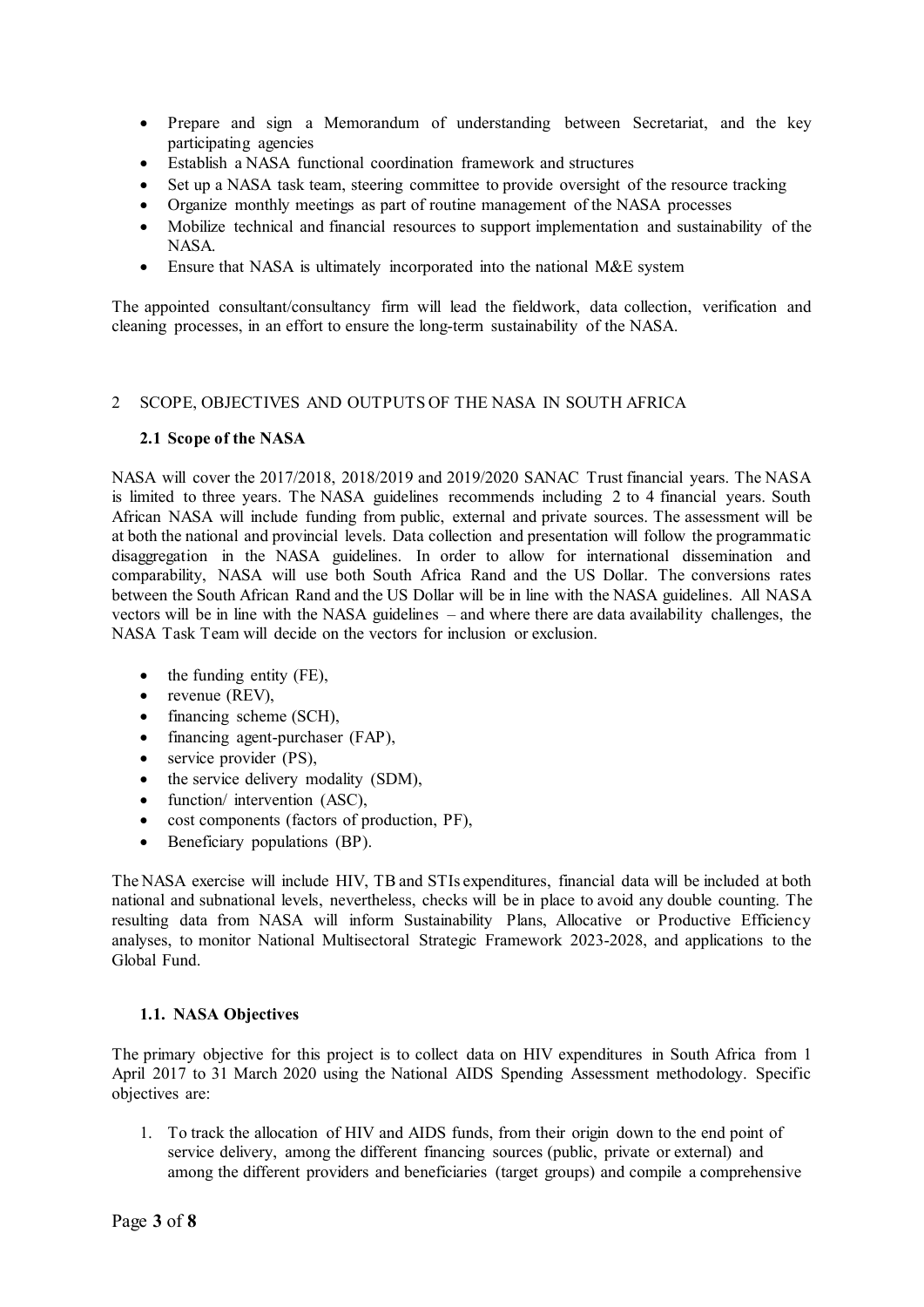- Prepare and sign a Memorandum of understanding between Secretariat, and the key participating agencies
- Establish a NASA functional coordination framework and structures
- Set up a NASA task team, steering committee to provide oversight of the resource tracking
- Organize monthly meetings as part of routine management of the NASA processes
- Mobilize technical and financial resources to support implementation and sustainability of the NASA.
- Ensure that NASA is ultimately incorporated into the national M&E system

The appointed consultant/consultancy firm will lead the fieldwork, data collection, verification and cleaning processes, in an effort to ensure the long-term sustainability of the NASA.

## 2 SCOPE, OBJECTIVES AND OUTPUTS OF THE NASA IN SOUTH AFRICA

#### **2.1 Scope of the NASA**

NASA will cover the 2017/2018, 2018/2019 and 2019/2020 SANAC Trust financial years. The NASA is limited to three years. The NASA guidelines recommends including 2 to 4 financial years. South African NASA will include funding from public, external and private sources. The assessment will be at both the national and provincial levels. Data collection and presentation will follow the programmatic disaggregation in the NASA guidelines. In order to allow for international dissemination and comparability, NASA will use both South Africa Rand and the US Dollar. The conversions rates between the South African Rand and the US Dollar will be in line with the NASA guidelines. All NASA vectors will be in line with the NASA guidelines – and where there are data availability challenges, the NASA Task Team will decide on the vectors for inclusion or exclusion.

- $\bullet$  the funding entity (FE),
- revenue (REV),
- financing scheme (SCH),
- financing agent-purchaser (FAP),
- service provider (PS),
- the service delivery modality (SDM),
- function/ intervention (ASC),
- cost components (factors of production, PF),
- Beneficiary populations (BP).

The NASA exercise will include HIV, TB and STIs expenditures, financial data will be included at both national and subnational levels, nevertheless, checks will be in place to avoid any double counting. The resulting data from NASA will inform Sustainability Plans, Allocative or Productive Efficiency analyses, to monitor National Multisectoral Strategic Framework 2023-2028, and applications to the Global Fund.

## **1.1. NASA Objectives**

The primary objective for this project is to collect data on HIV expenditures in South Africa from 1 April 2017 to 31 March 2020 using the National AIDS Spending Assessment methodology. Specific objectives are:

1. To track the allocation of HIV and AIDS funds, from their origin down to the end point of service delivery, among the different financing sources (public, private or external) and among the different providers and beneficiaries (target groups) and compile a comprehensive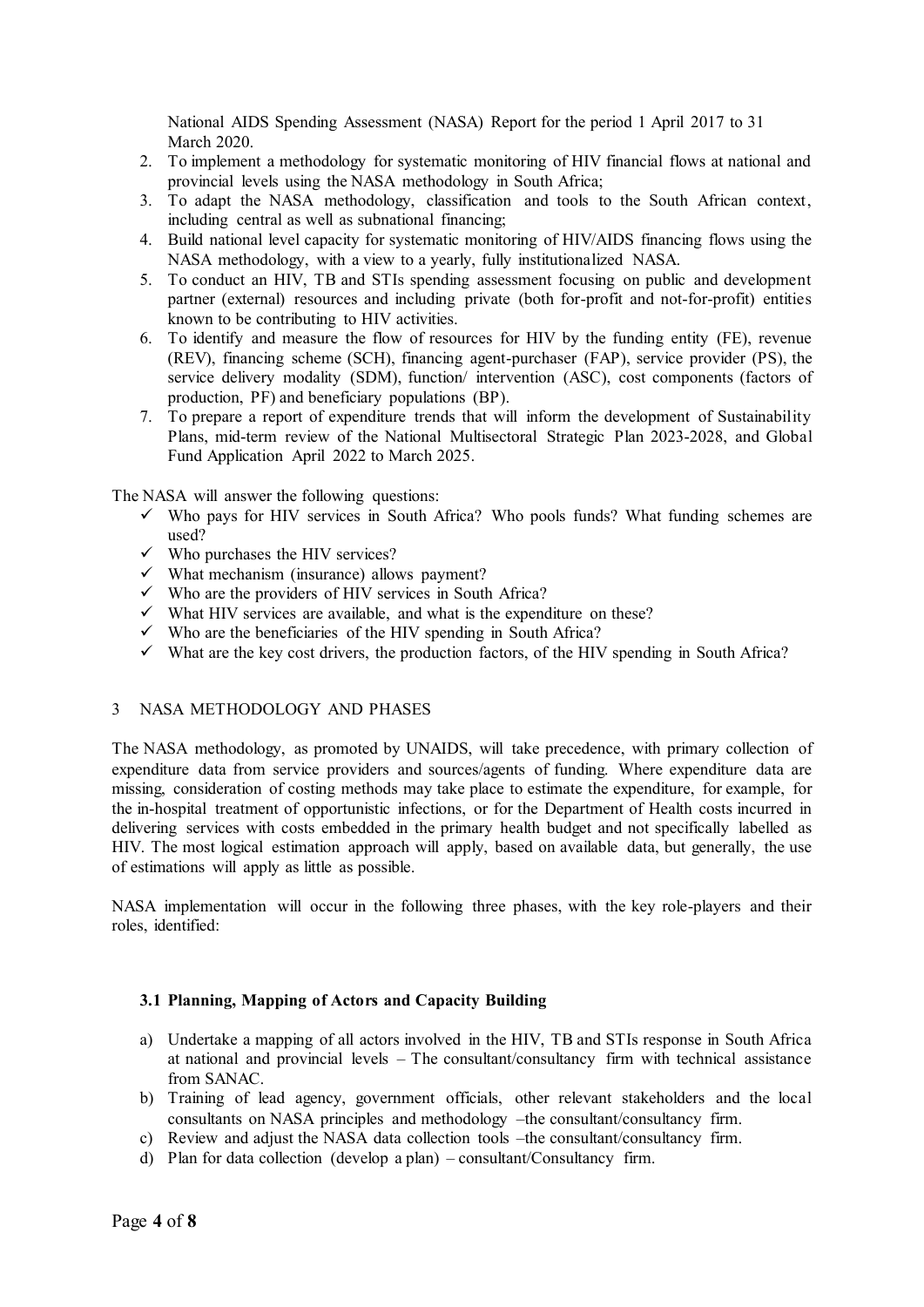National AIDS Spending Assessment (NASA) Report for the period 1 April 2017 to 31 March 2020.

- 2. To implement a methodology for systematic monitoring of HIV financial flows at national and provincial levels using the NASA methodology in South Africa;
- 3. To adapt the NASA methodology, classification and tools to the South African context, including central as well as subnational financing;
- 4. Build national level capacity for systematic monitoring of HIV/AIDS financing flows using the NASA methodology, with a view to a yearly, fully institutionalized NASA.
- 5. To conduct an HIV, TB and STIs spending assessment focusing on public and development partner (external) resources and including private (both for-profit and not-for-profit) entities known to be contributing to HIV activities.
- 6. To identify and measure the flow of resources for HIV by the funding entity (FE), revenue (REV), financing scheme (SCH), financing agent-purchaser (FAP), service provider (PS), the service delivery modality (SDM), function/ intervention (ASC), cost components (factors of production, PF) and beneficiary populations (BP).
- 7. To prepare a report of expenditure trends that will inform the development of Sustainability Plans, mid-term review of the National Multisectoral Strategic Plan 2023-2028, and Global Fund Application April 2022 to March 2025.

The NASA will answer the following questions:

- $\checkmark$  Who pays for HIV services in South Africa? Who pools funds? What funding schemes are used?
- $\checkmark$  Who purchases the HIV services?
- $\checkmark$  What mechanism (insurance) allows payment?
- $\checkmark$  Who are the providers of HIV services in South Africa?
- $\checkmark$  What HIV services are available, and what is the expenditure on these?
- $\checkmark$  Who are the beneficiaries of the HIV spending in South Africa?
- $\checkmark$  What are the key cost drivers, the production factors, of the HIV spending in South Africa?

#### 3 NASA METHODOLOGY AND PHASES

The NASA methodology, as promoted by UNAIDS, will take precedence, with primary collection of expenditure data from service providers and sources/agents of funding. Where expenditure data are missing, consideration of costing methods may take place to estimate the expenditure, for example, for the in-hospital treatment of opportunistic infections, or for the Department of Health costs incurred in delivering services with costs embedded in the primary health budget and not specifically labelled as HIV. The most logical estimation approach will apply, based on available data, but generally, the use of estimations will apply as little as possible.

NASA implementation will occur in the following three phases, with the key role-players and their roles, identified:

# **3.1 Planning, Mapping of Actors and Capacity Building**

- a) Undertake a mapping of all actors involved in the HIV, TB and STIs response in South Africa at national and provincial levels – The consultant/consultancy firm with technical assistance from SANAC.
- b) Training of lead agency, government officials, other relevant stakeholders and the local consultants on NASA principles and methodology –the consultant/consultancy firm.
- c) Review and adjust the NASA data collection tools –the consultant/consultancy firm.
- d) Plan for data collection (develop a plan) consultant/Consultancy firm.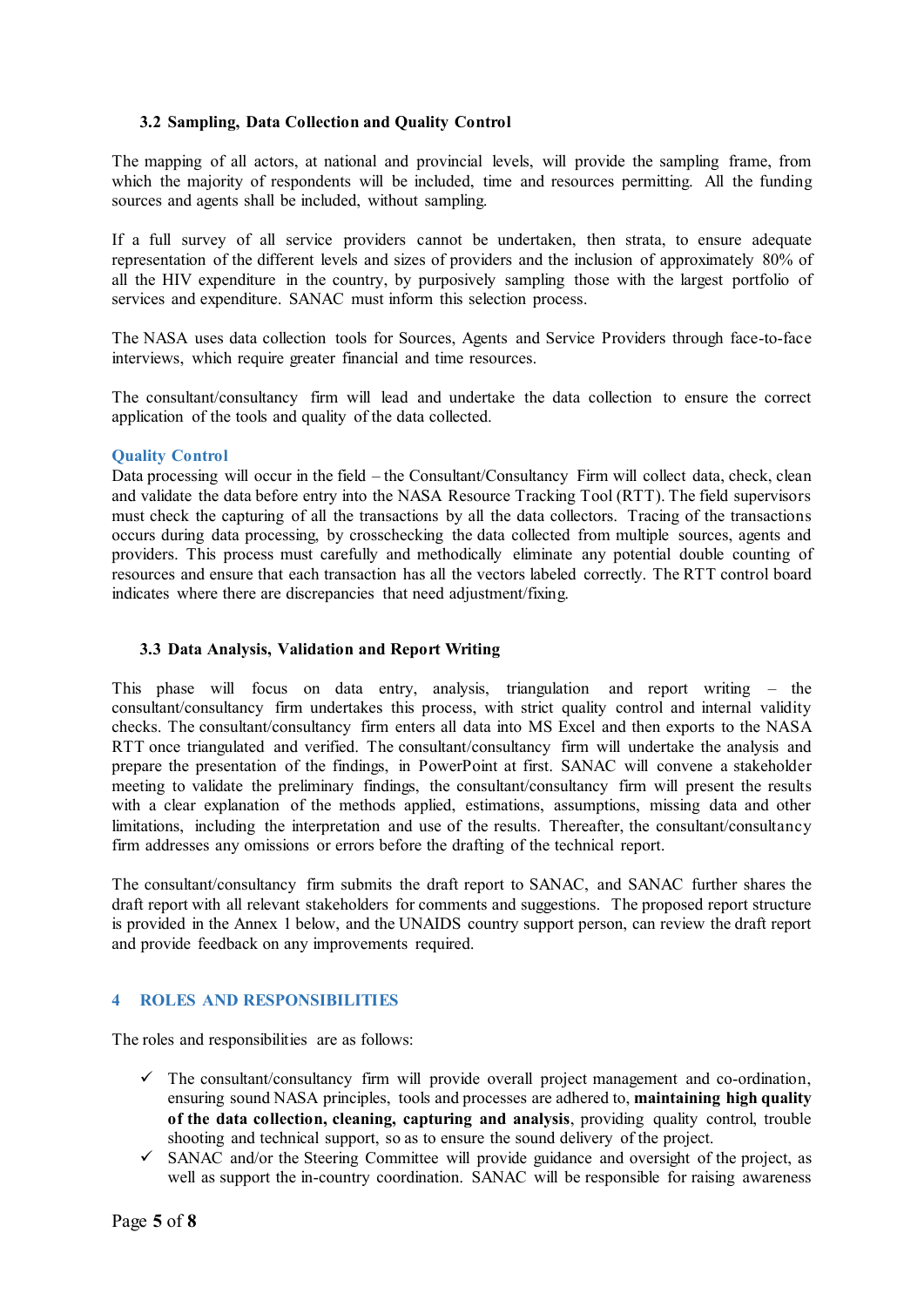# **3.2 Sampling, Data Collection and Quality Control**

The mapping of all actors, at national and provincial levels, will provide the sampling frame, from which the majority of respondents will be included, time and resources permitting. All the funding sources and agents shall be included, without sampling.

If a full survey of all service providers cannot be undertaken, then strata, to ensure adequate representation of the different levels and sizes of providers and the inclusion of approximately 80% of all the HIV expenditure in the country, by purposively sampling those with the largest portfolio of services and expenditure. SANAC must inform this selection process.

The NASA uses data collection tools for Sources, Agents and Service Providers through face-to-face interviews, which require greater financial and time resources.

The consultant/consultancy firm will lead and undertake the data collection to ensure the correct application of the tools and quality of the data collected.

## **Quality Control**

Data processing will occur in the field – the Consultant/Consultancy Firm will collect data, check, clean and validate the data before entry into the NASA Resource Tracking Tool (RTT). The field supervisors must check the capturing of all the transactions by all the data collectors. Tracing of the transactions occurs during data processing, by crosschecking the data collected from multiple sources, agents and providers. This process must carefully and methodically eliminate any potential double counting of resources and ensure that each transaction has all the vectors labeled correctly. The RTT control board indicates where there are discrepancies that need adjustment/fixing.

#### **3.3 Data Analysis, Validation and Report Writing**

This phase will focus on data entry, analysis, triangulation and report writing – the consultant/consultancy firm undertakes this process, with strict quality control and internal validity checks. The consultant/consultancy firm enters all data into MS Excel and then exports to the NASA RTT once triangulated and verified. The consultant/consultancy firm will undertake the analysis and prepare the presentation of the findings, in PowerPoint at first. SANAC will convene a stakeholder meeting to validate the preliminary findings, the consultant/consultancy firm will present the results with a clear explanation of the methods applied, estimations, assumptions, missing data and other limitations, including the interpretation and use of the results. Thereafter, the consultant/consultancy firm addresses any omissions or errors before the drafting of the technical report.

The consultant/consultancy firm submits the draft report to SANAC, and SANAC further shares the draft report with all relevant stakeholders for comments and suggestions. The proposed report structure is provided in the Annex 1 below, and the UNAIDS country support person, can review the draft report and provide feedback on any improvements required.

## **4 ROLES AND RESPONSIBILITIES**

The roles and responsibilities are as follows:

- $\checkmark$  The consultant/consultancy firm will provide overall project management and co-ordination, ensuring sound NASA principles, tools and processes are adhered to, **maintaining high quality of the data collection, cleaning, capturing and analysis**, providing quality control, trouble shooting and technical support, so as to ensure the sound delivery of the project.
- $\checkmark$  SANAC and/or the Steering Committee will provide guidance and oversight of the project, as well as support the in-country coordination. SANAC will be responsible for raising awareness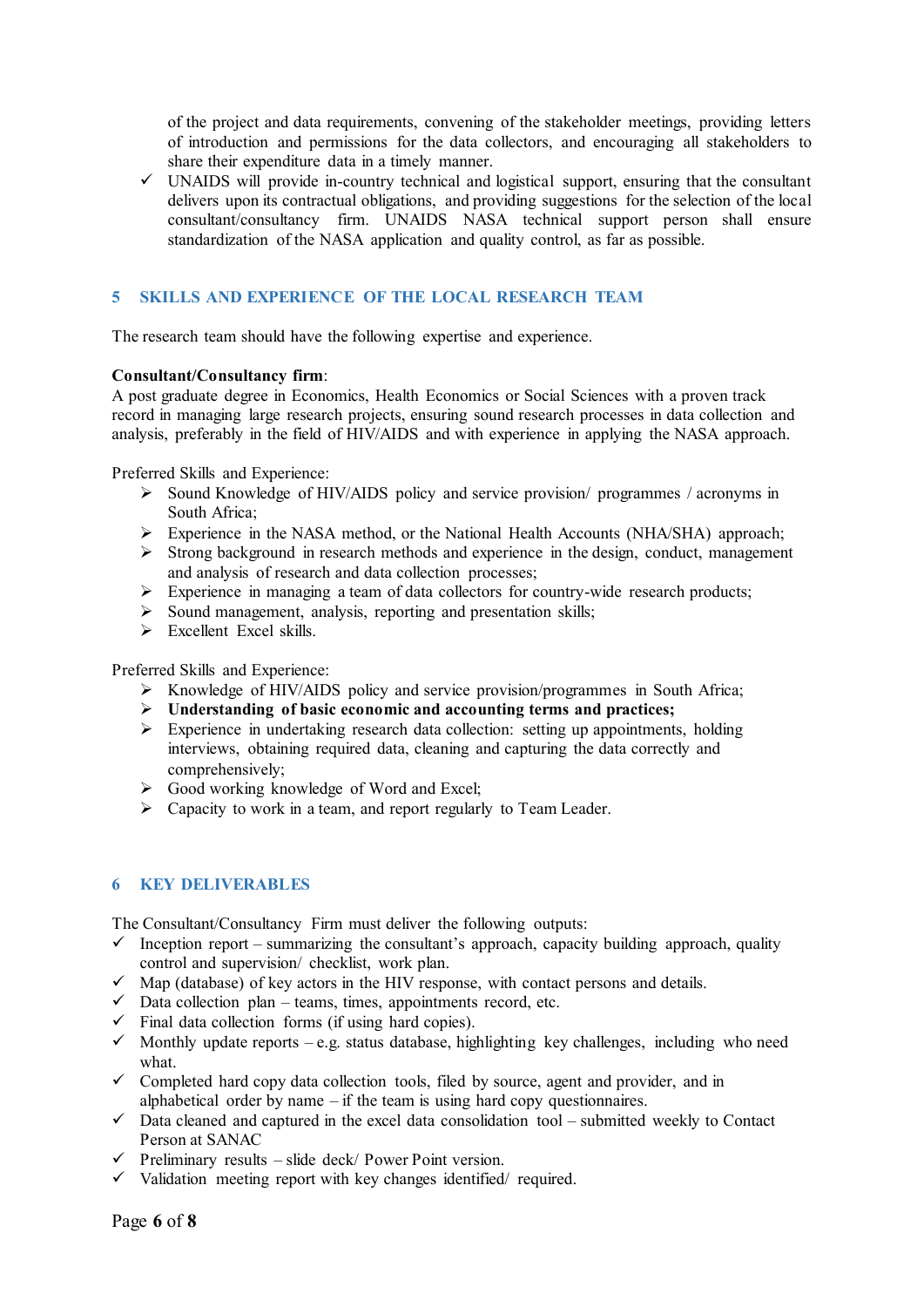of the project and data requirements, convening of the stakeholder meetings, providing letters of introduction and permissions for the data collectors, and encouraging all stakeholders to share their expenditure data in a timely manner.

 $\checkmark$  UNAIDS will provide in-country technical and logistical support, ensuring that the consultant delivers upon its contractual obligations, and providing suggestions for the selection of the local consultant/consultancy firm. UNAIDS NASA technical support person shall ensure standardization of the NASA application and quality control, as far as possible.

# **5 SKILLS AND EXPERIENCE OF THE LOCAL RESEARCH TEAM**

The research team should have the following expertise and experience.

#### **Consultant/Consultancy firm**:

A post graduate degree in Economics, Health Economics or Social Sciences with a proven track record in managing large research projects, ensuring sound research processes in data collection and analysis, preferably in the field of HIV/AIDS and with experience in applying the NASA approach.

Preferred Skills and Experience:

- Sound Knowledge of HIV/AIDS policy and service provision/ programmes / acronyms in South Africa;
- Experience in the NASA method, or the National Health Accounts (NHA/SHA) approach;
- $\triangleright$  Strong background in research methods and experience in the design, conduct, management and analysis of research and data collection processes;
- $\triangleright$  Experience in managing a team of data collectors for country-wide research products;
- $\triangleright$  Sound management, analysis, reporting and presentation skills;
- $\triangleright$  Excellent Excel skills.

Preferred Skills and Experience:

- $\triangleright$  Knowledge of HIV/AIDS policy and service provision/programmes in South Africa;
- **Understanding of basic economic and accounting terms and practices;**
- $\triangleright$  Experience in undertaking research data collection: setting up appointments, holding interviews, obtaining required data, cleaning and capturing the data correctly and comprehensively;
- $\triangleright$  Good working knowledge of Word and Excel;
- $\triangleright$  Capacity to work in a team, and report regularly to Team Leader.

## **6 KEY DELIVERABLES**

The Consultant/Consultancy Firm must deliver the following outputs:

- $\checkmark$  Inception report summarizing the consultant's approach, capacity building approach, quality control and supervision/ checklist, work plan.
- $\checkmark$  Map (database) of key actors in the HIV response, with contact persons and details.
- $\checkmark$  Data collection plan teams, times, appointments record, etc.
- $\checkmark$  Final data collection forms (if using hard copies).
- $\checkmark$  Monthly update reports e.g. status database, highlighting key challenges, including who need what.
- $\checkmark$  Completed hard copy data collection tools, filed by source, agent and provider, and in alphabetical order by name – if the team is using hard copy questionnaires.
- $\checkmark$  Data cleaned and captured in the excel data consolidation tool submitted weekly to Contact Person at SANAC
- $\checkmark$  Preliminary results slide deck/ Power Point version.
- $\checkmark$  Validation meeting report with key changes identified/ required.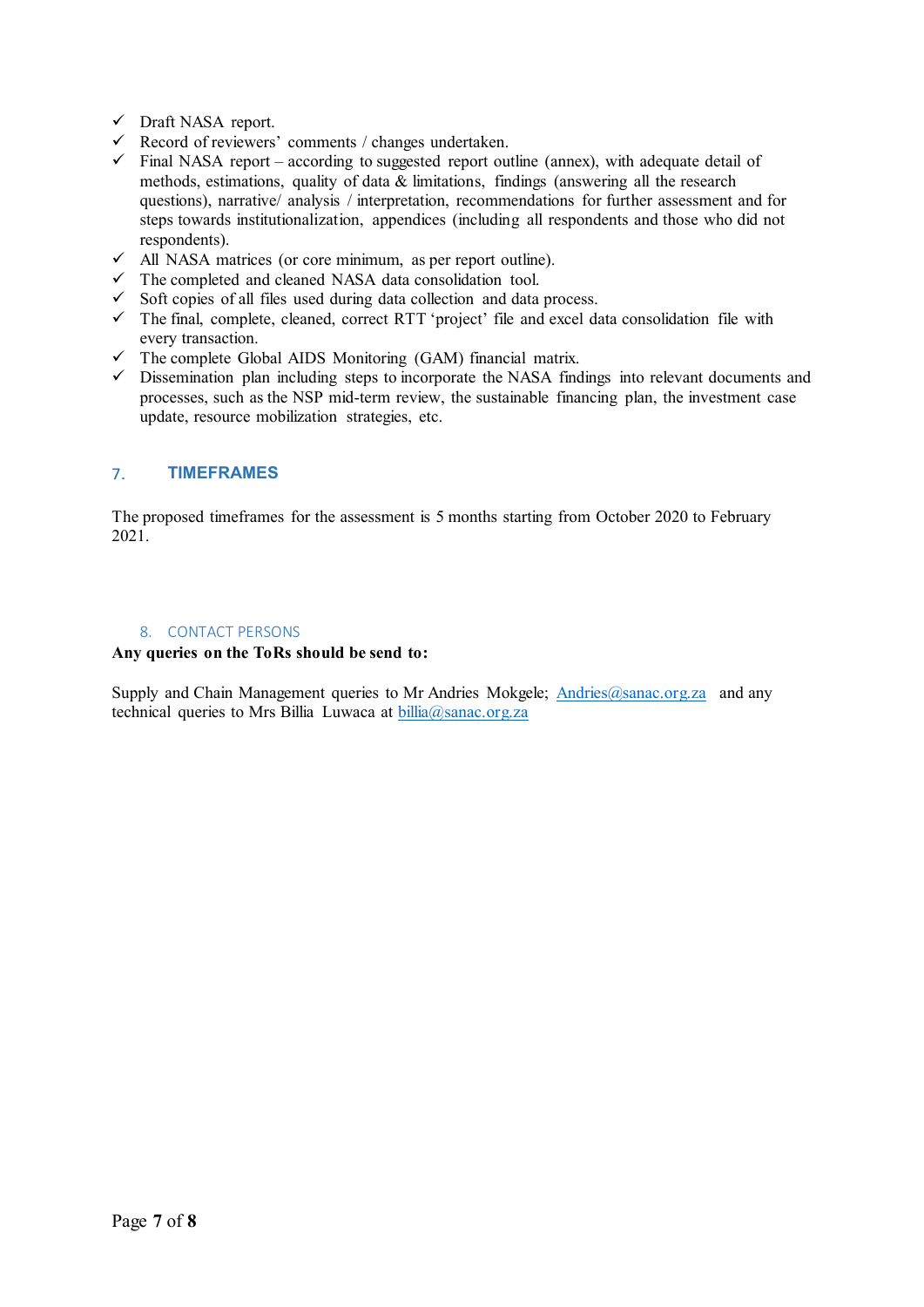- Draft NASA report.
- $\checkmark$  Record of reviewers' comments / changes undertaken.
- $\checkmark$  Final NASA report according to suggested report outline (annex), with adequate detail of methods, estimations, quality of data & limitations, findings (answering all the research questions), narrative/ analysis / interpretation, recommendations for further assessment and for steps towards institutionalization, appendices (including all respondents and those who did not respondents).
- $\checkmark$  All NASA matrices (or core minimum, as per report outline).
- $\checkmark$  The completed and cleaned NASA data consolidation tool.
- $\checkmark$  Soft copies of all files used during data collection and data process.
- $\checkmark$  The final, complete, cleaned, correct RTT 'project' file and excel data consolidation file with every transaction.
- $\checkmark$  The complete Global AIDS Monitoring (GAM) financial matrix.
- $\checkmark$  Dissemination plan including steps to incorporate the NASA findings into relevant documents and processes, such as the NSP mid-term review, the sustainable financing plan, the investment case update, resource mobilization strategies, etc.

# 7. **TIMEFRAMES**

The proposed timeframes for the assessment is 5 months starting from October 2020 to February 2021.

## 8. CONTACT PERSONS

#### **Any queries on the ToRs should be send to:**

Supply and Chain Management queries to Mr Andries Mokgele; Andries @sanac.org.za and any technical queries to Mrs Billia Luwaca at [billia@sanac.org.za](mailto:billia@sanac.org.za)